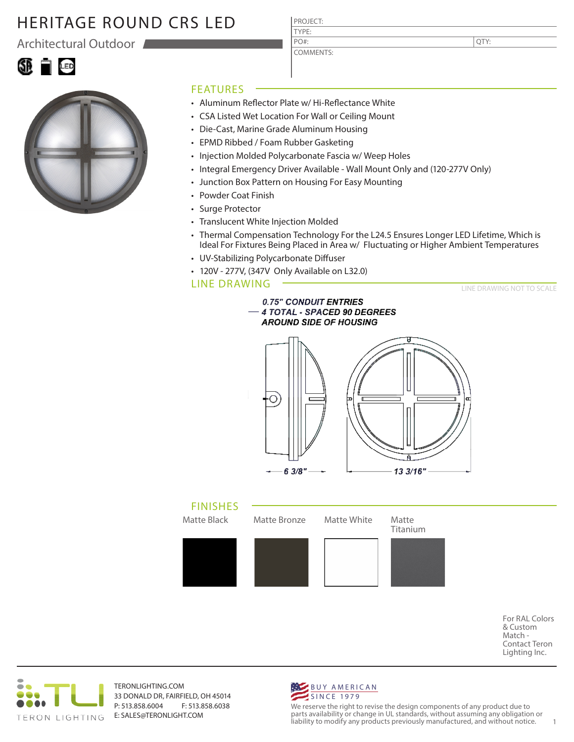Architectural Outdoor





#### FEATURES

• Aluminum Reflector Plate w/ Hi-Reflectance White

PROJECT: TYPE:

PO#:

COMMENTS:

- CSA Listed Wet Location For Wall or Ceiling Mount
- Die-Cast, Marine Grade Aluminum Housing
- EPMD Ribbed / Foam Rubber Gasketing
- Injection Molded Polycarbonate Fascia w/ Weep Holes
- Integral Emergency Driver Available Wall Mount Only and (120-277V Only)
- Junction Box Pattern on Housing For Easy Mounting
- Powder Coat Finish
- Surge Protector
- Translucent White Injection Molded
- Thermal Compensation Technology For the L24.5 Ensures Longer LED Lifetime, Which is Ideal For Fixtures Being Placed in Area w/ Fluctuating or Higher Ambient Temperatures
- UV-Stabilizing Polycarbonate Diffuser
- 120V 277V, (347V Only Available on L32.0)

#### LINE DRAWING

LINE DRAWING NOT TO SCALE







For RAL Colors & Custom Match - Contact Teron Lighting Inc.



TERONLIGHTING.COM 33 DONALD DR, FAIRFIELD, OH 45014 P: 513.858.6004 F: 513.858.6038 E: SALES@TERONLIGHT.COM



We reserve the right to revise the design components of any product due to parts availability or change in UL standards, without assuming any obligation or liability to modify any products previously manufactured, and without notice. 1

QTY: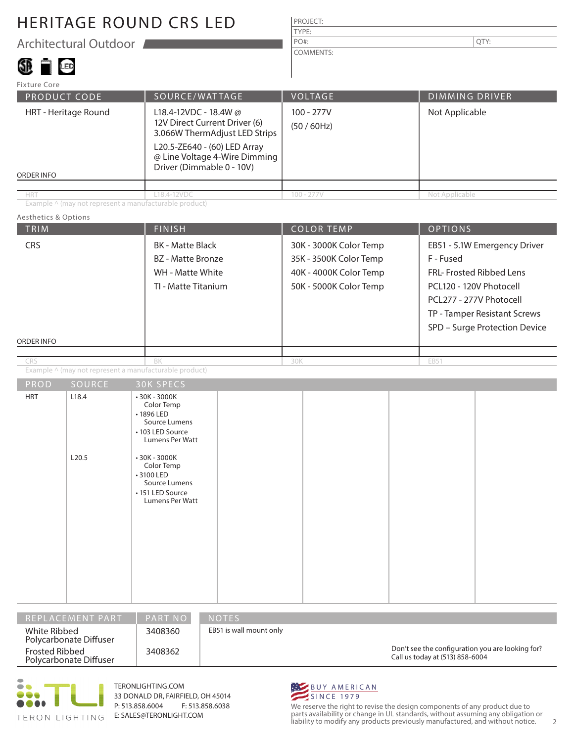Architectural Outdoor

## SI TIG

| PROJECT:         |      |
|------------------|------|
| TYPE:            |      |
| PO#:             | QTY: |
| <b>COMMENTS:</b> |      |

| <b>Fixture Core</b>                |                                                                                                                                                                                       |                                |                       |
|------------------------------------|---------------------------------------------------------------------------------------------------------------------------------------------------------------------------------------|--------------------------------|-----------------------|
| <b>PRODUCT CODE</b>                | SOURCE/WATTAGE                                                                                                                                                                        | <b>VOLTAGE</b>                 | <b>DIMMING DRIVER</b> |
| HRT - Heritage Round<br>ORDER INFO | L18.4-12VDC - 18.4W @<br>12V Direct Current Driver (6)<br>3.066W ThermAdjust LED Strips<br>L20.5-ZE640 - (60) LED Array<br>@ Line Voltage 4-Wire Dimming<br>Driver (Dimmable 0 - 10V) | $100 - 277V$<br>$(50 / 60$ Hz) | Not Applicable        |
|                                    |                                                                                                                                                                                       |                                |                       |
| <b>HRT</b>                         | L18.4-12VDC                                                                                                                                                                           | $100 - 277V$                   | Not Applicable        |

Example ^ (may not represent a manufacturable product)

#### Aesthetics & Options

| TRIM              |                | <b>FINISH</b>                                                                                                                                                                                                  | <b>COLOR TEMP</b> |                                                                                                      | <b>OPTIONS</b> |                                                                                                                                                                                              |  |
|-------------------|----------------|----------------------------------------------------------------------------------------------------------------------------------------------------------------------------------------------------------------|-------------------|------------------------------------------------------------------------------------------------------|----------------|----------------------------------------------------------------------------------------------------------------------------------------------------------------------------------------------|--|
| CRS<br>ORDER INFO |                | <b>BK</b> - Matte Black<br><b>BZ</b> - Matte Bronze<br>WH - Matte White<br>TI - Matte Titanium                                                                                                                 |                   | 30K - 3000K Color Temp<br>35K - 3500K Color Temp<br>40K - 4000K Color Temp<br>50K - 5000K Color Temp |                | EB51 - 5.1W Emergency Driver<br>F - Fused<br>FRL- Frosted Ribbed Lens<br>PCL120 - 120V Photocell<br>PCL277 - 277V Photocell<br>TP - Tamper Resistant Screws<br>SPD - Surge Protection Device |  |
|                   |                |                                                                                                                                                                                                                |                   |                                                                                                      |                |                                                                                                                                                                                              |  |
| CRS               |                | BK                                                                                                                                                                                                             | 30K               |                                                                                                      | EB51           |                                                                                                                                                                                              |  |
|                   |                | Example $\overline{\wedge}$ (may not represent a manufacturable product)                                                                                                                                       |                   |                                                                                                      |                |                                                                                                                                                                                              |  |
| PROD              | SOURCE         | <b>30K SPECS</b>                                                                                                                                                                                               |                   |                                                                                                      |                |                                                                                                                                                                                              |  |
| <b>HRT</b>        | L18.4<br>L20.5 | $•30K - 3000K$<br>Color Temp<br>•1896 LED<br>Source Lumens<br>• 103 LED Source<br><b>Lumens Per Watt</b><br>$•30K - 3000K$<br>Color Temp<br>• 3100 LED<br>Source Lumens<br>• 151 LED Source<br>Lumens Per Watt |                   |                                                                                                      |                |                                                                                                                                                                                              |  |

| I REPLACEMENT PART'                             | <b>PART NO</b> | NOTES.                                                                              |
|-------------------------------------------------|----------------|-------------------------------------------------------------------------------------|
| White Ribbed<br>Polycarbonate Diffuser          | 3408360        | EB51 is wall mount only                                                             |
| <b>Frosted Ribbed</b><br>Polycarbonate Diffuser | 3408362        | Don't see the configuration you are looking for?<br>Call us today at (513) 858-6004 |



TERONLIGHTING.COM 33 DONALD DR, FAIRFIELD, OH 45014 P: 513.858.6004 F: 513.858.6038 E: SALES@TERONLIGHT.COM



We reserve the right to revise the design components of any product due to parts availability or change in UL standards, without assuming any obligation or liability to modify any products previously manufactured, and without notice. 2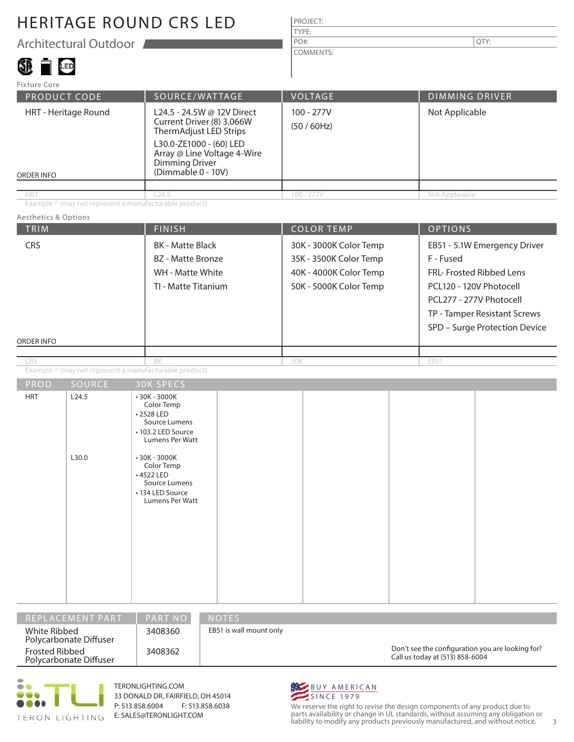Architectural Outdoor

#### 38 T G

| <b>PROJECT:</b> |     |
|-----------------|-----|
| TYPE:           |     |
| $PO#$ :         | ΓY: |

COMMENTS:

PRODUCT CODE | SOURCE/WATTAGE | VOLTAGE | DIMMING DRIVER ORDER INFO Fixture Core HRT - Heritage Round | L24.5 - 24.5W @ 12V Direct Current Driver (8) 3.066W ThermAdjust LED Strips L30.0-ZE1000 - (60) LED Array @ Line Voltage 4-Wire Dimming Driver (Dimmable 0 - 10V) 100 - 277V (50 / 60Hz) Not Applicable HRT Not Applicable 24.5 224.5 224.5 100 - 277V Not Applicable

Example ^ (may not represent a manufacturable product)

#### Aesthetics & Options

| TRIM                            |                                                        | <b>FINISH</b>                                                                                                                       |  |                                                                                                      | <b>COLOR TEMP</b> |                                                                                                                                                                                              | <b>OPTIONS</b> |  |
|---------------------------------|--------------------------------------------------------|-------------------------------------------------------------------------------------------------------------------------------------|--|------------------------------------------------------------------------------------------------------|-------------------|----------------------------------------------------------------------------------------------------------------------------------------------------------------------------------------------|----------------|--|
| <b>CRS</b><br><b>ORDER INFO</b> |                                                        | <b>BK</b> - Matte Black<br>BZ - Matte Bronze<br>WH - Matte White<br>TI - Matte Titanium                                             |  | 30K - 3000K Color Temp<br>35K - 3500K Color Temp<br>40K - 4000K Color Temp<br>50K - 5000K Color Temp |                   | EB51 - 5.1W Emergency Driver<br>F - Fused<br>FRL- Frosted Ribbed Lens<br>PCL120 - 120V Photocell<br>PCL277 - 277V Photocell<br>TP - Tamper Resistant Screws<br>SPD - Surge Protection Device |                |  |
|                                 |                                                        |                                                                                                                                     |  |                                                                                                      |                   |                                                                                                                                                                                              |                |  |
| CRS                             |                                                        | BK                                                                                                                                  |  | 30K                                                                                                  |                   |                                                                                                                                                                                              | EB51           |  |
|                                 | Example ^ (may not represent a manufacturable product) |                                                                                                                                     |  |                                                                                                      |                   |                                                                                                                                                                                              |                |  |
| PROD                            | SOURCE                                                 | <b>30K SPECS</b>                                                                                                                    |  |                                                                                                      |                   |                                                                                                                                                                                              |                |  |
| <b>HRT</b>                      | L24.5<br>L30.0                                         | $-30K - 3000K$<br>Color Temp<br>•2528 LED<br>Source Lumens<br>• 103.2 LED Source<br>Lumens Per Watt<br>$-30K - 3000K$<br>Color Temp |  |                                                                                                      |                   |                                                                                                                                                                                              |                |  |

| REPLACEMENT PART                         | PART NO | <b>NOTES</b>                                                                        |
|------------------------------------------|---------|-------------------------------------------------------------------------------------|
| White Ribbed<br>Polycarbonate Diffuser   | 3408360 | EB51 is wall mount only                                                             |
| Frosted Ribbed<br>Polycarbonate Diffuser | 3408362 | Don't see the configuration you are looking for?<br>Call us today at (513) 858-6004 |



TERONLIGHTING.COM 33 DONALD DR, FAIRFIELD, OH 45014 P: 513.858.6004 F: 513.858.6038 E: SALES@TERONLIGHT.COM

• 4522 LED Source Lumens • 134 LED Source Lumens Per Watt



We reserve the right to revise the design components of any product due to parts availability or change in UL standards, without assuming any obligation or liability to modify any products previously manufactured, and without notice. 3